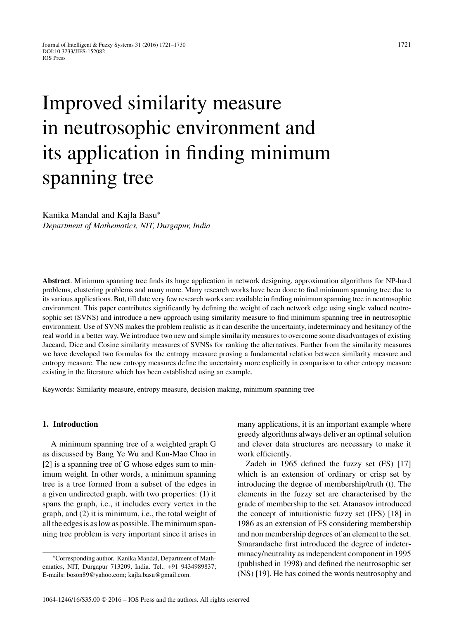# Improved similarity measure in neutrosophic environment and its application in finding minimum spanning tree

Kanika Mandal and Kajla Basu<sup>∗</sup> *Department of Mathematics, NIT, Durgapur, India*

**Abstract**. Minimum spanning tree finds its huge application in network designing, approximation algorithms for NP-hard problems, clustering problems and many more. Many research works have been done to find minimum spanning tree due to its various applications. But, till date very few research works are available in finding minimum spanning tree in neutrosophic environment. This paper contributes significantly by defining the weight of each network edge using single valued neutrosophic set (SVNS) and introduce a new approach using similarity measure to find minimum spanning tree in neutrosophic environment. Use of SVNS makes the problem realistic as it can describe the uncertainty, indeterminacy and hesitancy of the real world in a better way. We introduce two new and simple similarity measures to overcome some disadvantages of existing Jaccard, Dice and Cosine similarity measures of SVNSs for ranking the alternatives. Further from the similarity measures we have developed two formulas for the entropy measure proving a fundamental relation between similarity measure and entropy measure. The new entropy measures define the uncertainty more explicitly in comparison to other entropy measure existing in the literature which has been established using an example.

Keywords: Similarity measure, entropy measure, decision making, minimum spanning tree

# **1. Introduction**

A minimum spanning tree of a weighted graph G as discussed by Bang Ye Wu and Kun-Mao Chao in [2] is a spanning tree of G whose edges sum to minimum weight. In other words, a minimum spanning tree is a tree formed from a subset of the edges in a given undirected graph, with two properties: (1) it spans the graph, i.e., it includes every vertex in the graph, and (2) it is minimum, i.e., the total weight of all the edges is as low as possible. The minimum spanning tree problem is very important since it arises in

many applications, it is an important example where greedy algorithms always deliver an optimal solution and clever data structures are necessary to make it work efficiently.

Zadeh in 1965 defined the fuzzy set (FS) [17] which is an extension of ordinary or crisp set by introducing the degree of membership/truth (t). The elements in the fuzzy set are characterised by the grade of membership to the set. Atanasov introduced the concept of intuitionistic fuzzy set (IFS) [18] in 1986 as an extension of FS considering membership and non membership degrees of an element to the set. Smarandache first introduced the degree of indeterminacy/neutrality as independent component in 1995 (published in 1998) and defined the neutrosophic set (NS) [19]. He has coined the words neutrosophy and

<sup>∗</sup>Corresponding author. Kanika Mandal, Department of Mathematics, NIT, Durgapur 713209, India. Tel.: +91 9434989837; E-mails: [boson89@yahoo.com;](mailto:boson89@yahoo.com) [kajla.basu@gmail.com](mailto:kajla.basu@gmail.com).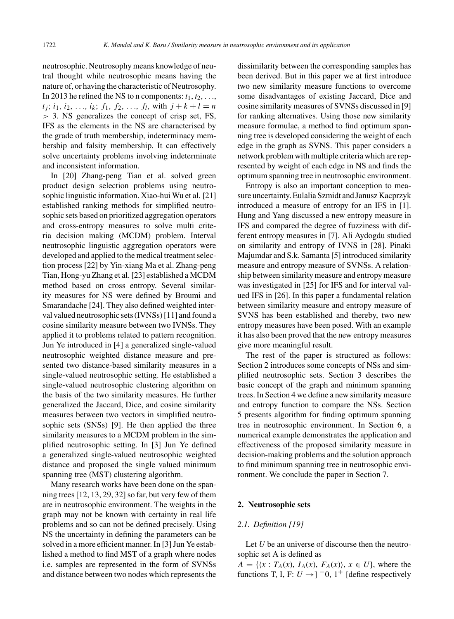neutrosophic. Neutrosophy means knowledge of neutral thought while neutrosophic means having the nature of, or having the characteristic of Neutrosophy. In 2013 he refined the NS to n components:  $t_1, t_2, \ldots$  $t_i$ ;  $i_1$ ,  $i_2$ , ...,  $i_k$ ;  $f_1$ ,  $f_2$ , ...,  $f_l$ , with  $j + k + l = n$ *>* 3. NS generalizes the concept of crisp set, FS, IFS as the elements in the NS are characterised by the grade of truth membership, indeterminacy membership and falsity membership. It can effectively solve uncertainty problems involving indeterminate and inconsistent information.

In [20] Zhang-peng Tian et al. solved green product design selection problems using neutrosophic linguistic information. Xiao-hui Wu et al. [21] established ranking methods for simplified neutrosophic sets based on prioritized aggregation operators and cross-entropy measures to solve multi criteria decision making (MCDM) problem. Interval neutrosophic linguistic aggregation operators were developed and applied to the medical treatment selection process [22] by Yin-xiang Ma et al. Zhang-peng Tian, Hong-yu Zhang et al. [23] established a MCDM method based on cross entropy. Several similarity measures for NS were defined by Broumi and Smarandache [24]. They also defined weighted interval valued neutrosophic sets (IVNSs) [11] and found a cosine similarity measure between two IVNSs. They applied it to problems related to pattern recognition. Jun Ye introduced in [4] a generalized single-valued neutrosophic weighted distance measure and presented two distance-based similarity measures in a single-valued neutrosophic setting. He established a single-valued neutrosophic clustering algorithm on the basis of the two similarity measures. He further generalized the Jaccard, Dice, and cosine similarity measures between two vectors in simplified neutrosophic sets (SNSs) [9]. He then applied the three similarity measures to a MCDM problem in the simplified neutrosophic setting. In [3] Jun Ye defined a generalized single-valued neutrosophic weighted distance and proposed the single valued minimum spanning tree (MST) clustering algorithm.

Many research works have been done on the spanning trees [12, 13, 29, 32] so far, but very few of them are in neutrosophic environment. The weights in the graph may not be known with certainty in real life problems and so can not be defined precisely. Using NS the uncertainty in defining the parameters can be solved in a more efficient manner. In [3] Jun Ye established a method to find MST of a graph where nodes i.e. samples are represented in the form of SVNSs and distance between two nodes which represents the dissimilarity between the corresponding samples has been derived. But in this paper we at first introduce two new similarity measure functions to overcome some disadvantages of existing Jaccard, Dice and cosine similarity measures of SVNSs discussed in [9] for ranking alternatives. Using those new similarity measure formulae, a method to find optimum spanning tree is developed considering the weight of each edge in the graph as SVNS. This paper considers a network problem with multiple criteria which are represented by weight of each edge in NS and finds the optimum spanning tree in neutrosophic environment.

Entropy is also an important conception to measure uncertainty. Eulalia Szmidt and Janusz Kacprzyk introduced a measure of entropy for an IFS in [1]. Hung and Yang discussed a new entropy measure in IFS and compared the degree of fuzziness with different entropy measures in [7]. Ali Aydogdu studied on similarity and entropy of IVNS in [28]. Pinaki Majumdar and S.k. Samanta [5] introduced similarity measure and entropy measure of SVNSs. A relationship between similarity measure and entropy measure was investigated in [25] for IFS and for interval valued IFS in [26]. In this paper a fundamental relation between similarity measure and entropy measure of SVNS has been established and thereby, two new entropy measures have been posed. With an example it has also been proved that the new entropy measures give more meaningful result.

The rest of the paper is structured as follows: Section 2 introduces some concepts of NSs and simplified neutrosophic sets. Section 3 describes the basic concept of the graph and minimum spanning trees. In Section 4 we define a new similarity measure and entropy function to compare the NSs. Section 5 presents algorithm for finding optimum spanning tree in neutrosophic environment. In Section 6, a numerical example demonstrates the application and effectiveness of the proposed similarity measure in decision-making problems and the solution approach to find minimum spanning tree in neutrosophic environment. We conclude the paper in Section 7.

# **2. Neutrosophic sets**

# *2.1. Definition [19]*

Let *U* be an universe of discourse then the neutrosophic set A is defined as

 $A = \{ \langle x : T_A(x), I_A(x), F_A(x) \rangle, x \in U \}$ , where the functions T, I, F:  $U \rightarrow$ ] <sup>-</sup>0, 1<sup>+</sup> [define respectively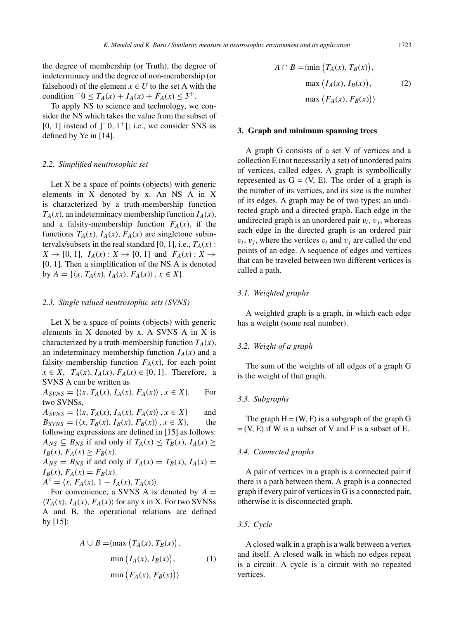the degree of membership (or Truth), the degree of indeterminacy and the degree of non-membership (or falsehood) of the element  $x \in U$  to the set A with the condition  $-0 \le T_A(x) + I_A(x) + F_A(x) \le 3^+$ .

To apply NS to science and technology, we consider the NS which takes the value from the subset of [0, 1] instead of ]−0*,* 1+[; i.e., we consider SNS as defined by Ye in [14].

# *2.2. Simplified neutrosophic set*

Let X be a space of points (objects) with generic elements in X denoted by x. An NS A in X is characterized by a truth-membership function  $T_A(x)$ , an indeterminacy membership function  $I_A(x)$ , and a falsity-membership function  $F_A(x)$ , if the functions  $T_A(x)$ ,  $I_A(x)$ ,  $F_A(x)$  are singletone subintervals/subsets in the real standard [0, 1], i.e.,  $T_A(x)$  :  $X \to [0, 1]$ ,  $I_A(x) : X \to [0, 1]$  and  $F_A(x) : X \to$ [0, 1]. Then a simplification of the NS A is denoted by  $A = \{ \langle x, T_A(x), I_A(x), F_A(x) \rangle, x \in X \}.$ 

#### *2.3. Single valued neutrosophic sets (SVNS)*

Let X be a space of points (objects) with generic elements in X denoted by x. A SVNS A in X is characterized by a truth-membership function  $T_A(x)$ , an indeterminacy membership function  $I_A(x)$  and a falsity-membership function  $F_A(x)$ , for each point  $x \in X$ ,  $T_A(x)$ ,  $I_A(x)$ ,  $F_A(x) \in [0, 1]$ . Therefore, a SVNS A can be written as

 $A_{SVNS} = \{ \langle x, T_A(x), I_A(x), F_A(x) \rangle, x \in X \}.$  For two SVNSs,

 $A_{SVNS} = \{ \langle x, T_A(x), I_A(x), F_A(x) \rangle, x \in X \}$  and  $B_{SVNS} = \{ \langle x, T_B(x), I_B(x), F_B(x) \rangle, x \in X \},\$  the following expressions are defined in [15] as follows:  $A_{NS} \subseteq B_{NS}$  if and only if  $T_A(x) \leq T_B(x)$ ,  $I_A(x) \geq$  $I_B(x)$ ,  $F_A(x) \geq F_B(x)$ .  $A_{NS} = B_{NS}$  if and only if  $T_A(x) = T_B(x)$ ,  $I_A(x) =$  $I_B(x)$ ,  $F_A(x) = F_B(x)$ .

 $A^{c} = \langle x, F_{A}(x), 1 - I_{A}(x), T_{A}(x) \rangle.$ 

For convenience, a SVNS A is denoted by  $A =$  $\langle T_A(x), I_A(x), F_A(x) \rangle$  for any x in X. For two SVNSs A and B, the operational relations are defined by [15]:

$$
A \cup B = \langle \max (T_A(x), T_B(x)),
$$
  
\n
$$
\min (I_A(x), I_B(x)),
$$
  
\n
$$
\min (F_A(x), F_B(x)) \rangle
$$
 (1)

$$
A \cap B = \langle \min \left( T_A(x), T_B(x) \right),
$$

$$
\max \left( I_A(x), I_B(x) \right), \qquad (2)
$$

$$
\max \left( F_A(x), F_B(x) \right) \rangle
$$

#### **3. Graph and minimum spanning trees**

A graph G consists of a set V of vertices and a collection E (not necessarily a set) of unordered pairs of vertices, called edges. A graph is symbollically represented as  $G = (V, E)$ . The order of a graph is the number of its vertices, and its size is the number of its edges. A graph may be of two types: an undirected graph and a directed graph. Each edge in the undirected graph is an unordered pair  $v_i$ ,  $v_j$ , whereas each edge in the directed graph is an ordered pair  $v_i$ ,  $v_j$ , where the vertices  $v_i$  and  $v_j$  are called the end points of an edge. A sequence of edges and vertices that can be traveled between two different vertices is called a path.

# *3.1. Weighted graphs*

A weighted graph is a graph, in which each edge has a weight (some real number).

# *3.2. Weight of a graph*

The sum of the weights of all edges of a graph G is the weight of that graph.

# *3.3. Subgraphs*

The graph  $H = (W, F)$  is a subgraph of the graph G  $= (V, E)$  if W is a subset of V and F is a subset of E.

# *3.4. Connected graphs*

A pair of vertices in a graph is a connected pair if there is a path between them. A graph is a connected graph if every pair of vertices in G is a connected pair, otherwise it is disconnected graph.

# *3.5. Cycle*

A closed walk in a graph is a walk between a vertex and itself. A closed walk in which no edges repeat is a circuit. A cycle is a circuit with no repeated vertices.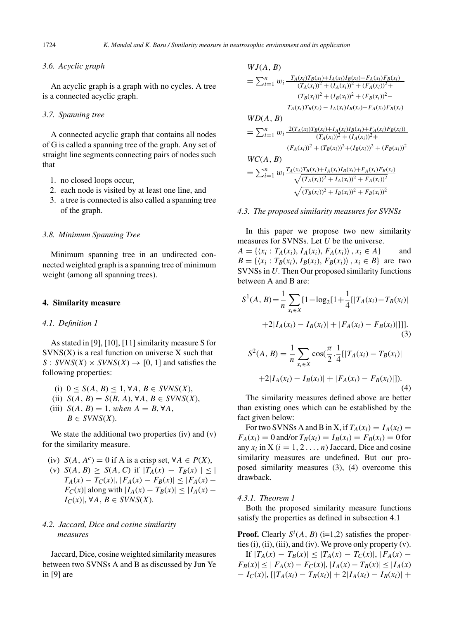# *3.6. Acyclic graph*

An acyclic graph is a graph with no cycles. A tree is a connected acyclic graph.

# *3.7. Spanning tree*

A connected acyclic graph that contains all nodes of G is called a spanning tree of the graph. Any set of straight line segments connecting pairs of nodes such that

- 1. no closed loops occur,
- 2. each node is visited by at least one line, and
- 3. a tree is connected is also called a spanning tree of the graph.

# *3.8. Minimum Spanning Tree*

Minimum spanning tree in an undirected connected weighted graph is a spanning tree of minimum weight (among all spanning trees).

# **4. Similarity measure**

# *4.1. Definition 1*

As stated in [9], [10], [11] similarity measure S for  $SVNS(X)$  is a real function on universe X such that  $S: SVNS(X) \times SVNS(X) \rightarrow [0, 1]$  and satisfies the following properties:

- (i)  $0 \leq S(A, B) \leq 1, \forall A, B \in SVNS(X)$ ,
- (ii)  $S(A, B) = S(B, A), \forall A, B \in SVNS(X),$ (iii)  $S(A, B) = 1$ *, when*  $A = B$ ,  $\forall A$ ,
- $B \in SVNS(X)$ .

We state the additional two properties (iv) and (v) for the similarity measure.

(iv)  $S(A, A^c) = 0$  if A is a crisp set,  $\forall A \in P(X)$ , (v)  $S(A, B) \geq S(A, C)$  if  $|T_A(x) - T_B(x)| \leq$  $T_A(x) - T_C(x)$ ,  $|F_A(x) - F_B(x)| \le |F_A(x) - F_B(x)|$  $F_C(x)$ | along with  $|I_A(x) - T_B(x)| \leq |I_A(x) - T_B(x)|$ *I<sub>C</sub>*(*x*)|, ∀*A*, *B* ∈ *SVNS*(*X*).

# *4.2. Jaccard, Dice and cosine similarity measures*

Jaccard, Dice, cosine weighted similarity measures between two SVNSs A and B as discussed by Jun Ye in [9] are

# *WJ*(*A, B*)  $= \sum_{i=1}^n w_i \frac{T_A(x_i)T_B(x_i)+I_A(x_i)I_B(x_i)+F_A(x_i)F_B(x_i)}{(T_A(x_i))^2+(I_A(x_i))^2+(F_A(x_i))^2+...}$  $(T_A(x_i))^2 + (I_A(x_i))^2 + (F_A(x_i))^2 +$  $(T_B(x_i))^2 + (I_B(x_i))^2 + (F_B(x_i))^2 T_A(x_i)T_B(x_i) - I_A(x_i)I_B(x_i) - F_A(x_i)F_B(x_i)$ *WD*(*A, B*)  $=\sum_{i=1}^n w_i \frac{2(T_A(x_i)T_B(x_i)+I_A(x_i)I_B(x_i)+F_A(x_i)F_B(x_i))}{(T_A(x_i))^2+(I_A(x_i))^2+1}$  $(F_A(x_i))^2 + (T_B(x_i))^2 + (I_B(x_i))^2 + (F_B(x_i))^2$

$$
WC(A, B)
$$
  
=  $\sum_{i=1}^{n} w_i \frac{T_A(x_i)T_B(x_i) + I_A(x_i)I_B(x_i) + F_A(x_i)F_B(x_i)}{\sqrt{(T_A(x_i))^2 + I_A(x_i))^2 + F_A(x_i))^2}}$   
 $\sqrt{(T_B(x_i))^2 + I_B(x_i))^2 + F_B(x_i)^2}$ 

# *4.3. The proposed similarity measures for SVNSs*

In this paper we propose two new similarity measures for SVNSs. Let *U* be the universe.

 $A = \{ (x_i : T_A(x_i), I_A(x_i), F_A(x_i)) \}, x_i \in A \}$  and  $B = \{ (x_i : T_B(x_i), I_B(x_i), F_B(x_i)) \}, x_i \in B \}$  are two SVNSs in *U*. Then Our proposed similarity functions between A and B are:

$$
S^{1}(A, B) = \frac{1}{n} \sum_{x_{i} \in X} [1 - \log_{2}[1 + \frac{1}{4}[|T_{A}(x_{i}) - T_{B}(x_{i})| +2|I_{A}(x_{i}) - I_{B}(x_{i})| + |F_{A}(x_{i}) - F_{B}(x_{i})|]]].
$$
\n(3)

$$
S^{2}(A, B) = \frac{1}{n} \sum_{x_{i} \in X} \cos(\frac{\pi}{2} \cdot \frac{1}{4} [|T_{A}(x_{i}) - T_{B}(x_{i})| +2|I_{A}(x_{i}) - I_{B}(x_{i})| + |F_{A}(x_{i}) - F_{B}(x_{i})|]).
$$
\n(4)

The similarity measures defined above are better than existing ones which can be established by the fact given below:

For two SVNSs A and B in X, if  $T_A(x_i) = I_A(x_i) =$  $F_A(x_i) = 0$  and/or  $T_B(x_i) = I_B(x_i) = F_B(x_i) = 0$  for any  $x_i$  in X ( $i = 1, 2, \ldots, n$ ) Jaccard, Dice and cosine similarity measures are undefined. But our proposed similarity measures (3), (4) overcome this drawback.

# *4.3.1. Theorem 1*

Both the proposed similarity measure functions satisfy the properties as defined in subsection 4.1

**Proof.** Clearly  $S^i(A, B)$  (i=1,2) satisfies the properties (i), (ii), (iii), and (iv). We prove only property (v).  $\text{If } |T_A(x) - T_B(x)| \leq |T_A(x) - T_C(x)|, |F_A(x) - T_B(x)|$  $F_B(x)| \leq |F_A(x) - F_C(x)|, |I_A(x) - T_B(x)| \leq |I_A(x)|$  $-I_C(x)$ ,  $[|T_A(x_i) - T_B(x_i)| + 2|I_A(x_i) - I_B(x_i)| +$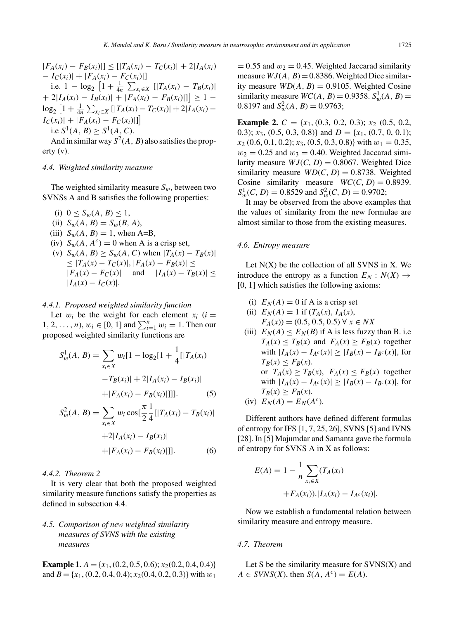$|F_A(x_i) - F_B(x_i)|$  ≤ [| $T_A(x_i) - T_C(x_i)$ | + 2| $I_A(x_i)$  $-I_C(x_i)|+|F_A(x_i)-F_C(x_i)|$ i.e.  $1 - \log_2 \left[ 1 + \frac{1}{4n} \sum_{x_i \in X} \left[ |T_A(x_i) - T_B(x_i)| \right] \right]$  $+ 2|I_A(x_i) - I_B(x_i)| + |F_A(x_i) - F_B(x_i)|] \geq 1 \log_2\left[1+\frac{1}{4n}\sum_{x_i\in X}\left[|T_A(x_i)-T_C(x_i)|+2|I_A(x_i)-\right]\right]$  $I_C(x_i)|+|F_A(x_i) - F_C(x_i)|]$ i.e  $S^1(A, B) > S^1(A, C)$ .

And in similar way  $S^2(A, B)$  also satisfies the property (v).

#### *4.4. Weighted similarity measure*

The weighted similarity measure  $S_w$ , between two SVNSs A and B satisfies the following properties:

- (i)  $0 \le S_w(A, B) \le 1$ ,
- (ii)  $S_w(A, B) = S_w(B, A),$
- (iii)  $S_w(A, B) = 1$ , when A=B,
- (iv)  $S_w(A, A^c) = 0$  when A is a crisp set,
- (v)  $S_w(A, B) \ge S_w(A, C)$  when  $|T_A(x) T_B(x)|$  $\leq |T_A(x) - T_C(x)|$ ,  $|F_A(x) - F_B(x)| \leq$  $|F_A(x) - F_C(x)|$  and  $|I_A(x) - T_B(x)| \le$  $|I_A(x) - I_C(x)|$ .

# *4.4.1. Proposed weighted similarity function*

Let  $w_i$  be the weight for each element  $x_i$  ( $i =$ 1, 2, ..., *n*),  $w_i \in [0, 1]$  and  $\sum_{i=1}^{n} w_i = 1$ . Then our proposed weighted similarity functions are

$$
S_w^1(A, B) = \sum_{x_i \in X} w_i [1 - \log_2[1 + \frac{1}{4} [T_A(x_i) - T_B(x_i)] + 2] I_A(x_i) - I_B(x_i)] + |F_A(x_i) - F_B(x_i)|]]].
$$
\n(5)

$$
S_w^2(A, B) = \sum_{x_i \in X} w_i \cos[\frac{\pi}{2} \frac{1}{4} [|T_A(x_i) - T_B(x_i)| +2|I_A(x_i) - I_B(x_i)| + |F_A(x_i) - F_B(x_i)|]]. \tag{6}
$$

# *4.4.2. Theorem 2*

It is very clear that both the proposed weighted similarity measure functions satisfy the properties as defined in subsection 4.4.

# *4.5. Comparison of new weighted similarity measures of SVNS with the existing measures*

**Example 1.**  $A = \{x_1, (0.2, 0.5, 0.6); x_2(0.2, 0.4, 0.4)\}$ and *B* = { $x_1$ , (0.2, 0.4, 0.4);  $x_2$ (0.4, 0.2, 0.3)} with  $w_1$ 

 $= 0.55$  and  $w_2 = 0.45$ . Weighted Jaccarad similarity measure  $WJ(A, B) = 0.8386$ . Weighted Dice similarity measure  $WD(A, B) = 0.9105$ . Weighted Cosine similarity measure  $WC(A, B) = 0.9358$ .  $S_w^1(A, B) =$ 0.8197 and  $S_w^2(A, B) = 0.9763$ ;

**Example 2.** *C* = {*x*1*,* (0*.*3, 0*.*2, 0*.*3); *x*<sup>2</sup> (0*.*5, 0*.*2, 0.3);  $x_3$ , (0.5, 0.3, 0.8)} and  $D = \{x_1, (0.7, 0, 0.1);$ *x*<sup>2</sup> (0*.*6, 0*.*1, 0*.*2); *x*3, (0*.*5, 0*.*3, 0*.*8)} with *w*<sup>1</sup> = 0*.*35,  $w_2 = 0.25$  and  $w_3 = 0.40$ . Weighted Jaccarad similarity measure  $WJ(C, D) = 0.8067$ . Weighted Dice similarity measure  $WD(C, D) = 0.8738$ . Weighted Cosine similarity measure  $WC(C, D) = 0.8939$ .  $S_w^1(C, D) = 0.8529$  and  $S_w^2(C, D) = 0.9702$ ;

It may be observed from the above examples that the values of similarity from the new formulae are almost similar to those from the existing measures.

# *4.6. Entropy measure*

Let  $N(X)$  be the collection of all SVNS in X. We introduce the entropy as a function  $E_N : N(X) \to$ [0*,* 1] which satisfies the following axioms:

- (i)  $E_N(A) = 0$  if A is a crisp set
- (ii)  $E_N(A) = 1$  if  $(T_A(x), I_A(x))$ ,  $F_A(x)$  = (0.5, 0.5, 0.5) ∀ *x* ∈ *NX*
- (iii)  $E_N(A) \le E_N(B)$  if A is less fuzzy than B. i.e  $T_A(x) \leq T_B(x)$  and  $F_A(x) \geq F_B(x)$  together with  $|I_A(x) - I_{A^c}(x)| \geq |I_B(x) - I_{B^c}(x)|$ , for  $T_B(x) \leq F_B(x)$ . or  $T_A(x) \geq T_B(x)$ ,  $F_A(x) \leq F_B(x)$  together with  $|I_A(x) - I_{A^c}(x)|$  ≥  $|I_B(x) - I_{B^c}(x)|$ , for  $T_B(x) \geq F_B(x)$ .

(iv) 
$$
E_N(A) = E_N(A^c)
$$
.

Different authors have defined different formulas of entropy for IFS [1, 7, 25, 26], SVNS [5] and IVNS [28]. In [5] Majumdar and Samanta gave the formula of entropy for SVNS A in X as follows:

$$
E(A) = 1 - \frac{1}{n} \sum_{x_i \in X} (T_A(x_i) + F_A(x_i)). |I_A(x_i) - I_{A^c}(x_i)|.
$$

Now we establish a fundamental relation between similarity measure and entropy measure.

#### *4.7. Theorem*

Let S be the similarity measure for  $SVNS(X)$  and  $A \in SVNS(X)$ , then  $S(A, A^c) = E(A)$ .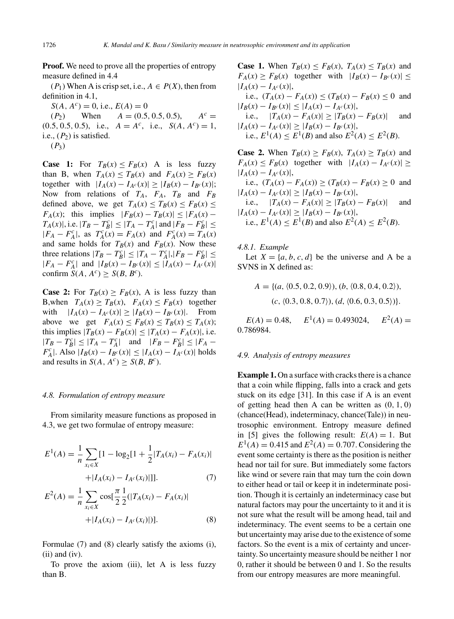**Proof.** We need to prove all the properties of entropy measure defined in 4.4

 $(P_1)$  When A is crisp set, i.e.,  $A \in P(X)$ , then from definition in 4.1,

 $S(A, A^c) = 0$ , i.e.,  $E(A) = 0$ 

 $(P_2)$  When  $A = (0.5, 0.5, 0.5)$ ,  $A^c =$  $(0.5, 0.5, 0.5)$ , i.e.,  $A = A^{c}$ , i.e.,  $S(A, A^{c}) = 1$ , i.e.,  $(P_2)$  is satisfied.

 $(P_3)$ 

**Case 1:** For  $T_B(x) \leq F_B(x)$  A is less fuzzy than B, when  $T_A(x) \leq T_B(x)$  and  $F_A(x) \geq F_B(x)$ together with  $|I_A(x) - I_{A^c}(x)| \geq |I_B(x) - I_{B^c}(x)|;$ Now from relations of  $T_A$ ,  $F_A$ ,  $T_B$  and  $F_B$ defined above, we get  $T_A(x) \le T_B(x) \le F_B(x) \le$ *F<sub>A</sub>*(*x*); this implies  $|F_B(x) - T_B(x)| \le |F_A(x) T_A(x)$ |, i.e.  $|T_B - T_B^c| \le |T_A - T_A^c|$  and  $|F_B - F_B^c| \le$  $|F_A - F_A^c|$ , as  $T_A^c(x) = F_A(x)$  and  $F_A^c(x) = T_A(x)$ and same holds for  $T_B(x)$  and  $F_B(x)$ . Now these three relations  $|T_B - T_B^c| \le |T_A - T_A^c|, |F_B - F_B^c| \le$  $|F_A - F_A^c|$  and  $|I_B(x) - I_{B^c}(x)| \leq |I_A(x) - I_{A^c}(x)|$ confirm  $S(A, A^c) \geq S(B, B^c)$ .

**Case 2:** For  $T_B(x) \geq F_B(x)$ , A is less fuzzy than B,when  $T_A(x) \ge T_B(x)$ ,  $F_A(x) \le F_B(x)$  together with  $|I_A(x) - I_{A^c}(x)| \geq |I_B(x) - I_{B^c}(x)|$ . From above we get  $F_A(x) \leq F_B(x) \leq T_B(x) \leq T_A(x);$ this implies  $|T_B(x) - F_B(x)| ≤ |T_A(x) - F_A(x)|$ , i.e.  $|T_B - T_B^c| \le |T_A - T_A^c|$  and  $|F_B - F_B^c| \le |F_A F_A^c$ |. Also  $|I_B(x) - I_{B^c}(x)| \leq |I_A(x) - I_{A^c}(x)|$  holds and results in *S*(*A*, *A<sup>c</sup>*)  $\geq$  *S*(*B*, *B<sup>c</sup>*).

#### *4.8. Formulation of entropy measure*

From similarity measure functions as proposed in 4.3, we get two formulae of entropy measure:

$$
E^{1}(A) = \frac{1}{n} \sum_{x_i \in X} [1 - \log_2[1 + \frac{1}{2} | T_A(x_i) - F_A(x_i) |
$$

$$
+ | I_A(x_i) - I_{A^c}(x_i) |]]. \tag{7}
$$

$$
E^{2}(A) = \frac{1}{n} \sum_{x_{i} \in X} \cos[\frac{\pi}{2} \frac{1}{2} (|T_{A}(x_{i}) - F_{A}(x_{i})| + |I_{A}(x_{i}) - I_{A^{c}}(x_{i})|)].
$$
\n(8)

Formulae (7) and (8) clearly satisfy the axioms (i),  $(ii)$  and  $(iv)$ .

To prove the axiom (iii), let A is less fuzzy than B.

**Case 1.** When  $T_B(x) \leq F_B(x)$ ,  $T_A(x) \leq T_B(x)$  and  $F_A(x) \geq F_B(x)$  together with  $|I_B(x) - I_{B^c}(x)| \leq$  $|I_A(x) - I_{A^c}(x)|,$ i.e.,  $(T_A(x) - F_A(x)) \le (T_B(x) - F_B(x) \le 0$  and  $|I_B(x) - I_{B^c}(x)| \leq |I_A(x) - I_{A^c}(x)|$ i.e.,  $|T_A(x) - F_A(x)| \ge |T_B(x) - F_B(x)|$  and

 $|I_A(x) - I_{A^c}(x)| \geq |I_B(x) - I_{B^c}(x)|$ i.e.,  $E^1(A) \le E^1(B)$  and also  $E^2(A) \le E^2(B)$ .

**Case 2.** When  $T_B(x) > F_B(x)$ ,  $T_A(x) > T_B(x)$  and  $F_A(x) \leq F_B(x)$  together with  $|I_A(x) - I_{A^c}(x)|$  $|I_A(x) - I_{A^c}(x)|,$ 

i.e.,  $(T_A(x) - F_A(x)) \ge (T_B(x) - F_B(x) \ge 0$  and  $|I_A(x) - I_{A^c}(x)| \geq |I_B(x) - I_{B^c}(x)|$ 

i.e.,  $|T_A(x) - F_A(x)| \ge |T_B(x) - F_B(x)|$  and  $|I_A(x) - I_{A^c}(x)| \geq |I_B(x) - I_{B^c}(x)|,$ i.e.,  $E^1(A) \le E^1(B)$  and also  $E^2(A) \le E^2(B)$ .

*4.8.1. Example*

Let  $X = \{a, b, c, d\}$  be the universe and A be a SVNS in X defined as:

$$
A = \{ (a, \langle 0.5, 0.2, 0.9 \rangle), (b, \langle 0.8, 0.4, 0.2 \rangle), (c, \langle 0.3, 0.8, 0.7 \rangle), (d, \langle 0.6, 0.3, 0.5 \rangle) \}.
$$

 $E(A) = 0.48$ ,  $E^1(A) = 0.493024$ ,  $E^2(A) =$ 0*.*786984.

#### *4.9. Analysis of entropy measures*

**Example 1.** On a surface with cracks there is a chance that a coin while flipping, falls into a crack and gets stuck on its edge [31]. In this case if A is an event of getting head then A can be written as (0*,* 1*,* 0) (chance(Head), indeterminacy, chance(Tale)) in neutrosophic environment. Entropy measure defined in [5] gives the following result:  $E(A) = 1$ . But  $E^1(A) = 0.415$  and  $E^2(A) = 0.707$ . Considering the event some certainty is there as the position is neither head nor tail for sure. But immediately some factors like wind or severe rain that may turn the coin down to either head or tail or keep it in indeterminate position. Though it is certainly an indeterminacy case but natural factors may pour the uncertainty to it and it is not sure what the result will be among head, tail and indeterminacy. The event seems to be a certain one but uncertainty may arise due to the existence of some factors. So the event is a mix of certainty and uncertainty. So uncertainty measure should be neither 1 nor 0, rather it should be between 0 and 1. So the results from our entropy measures are more meaningful.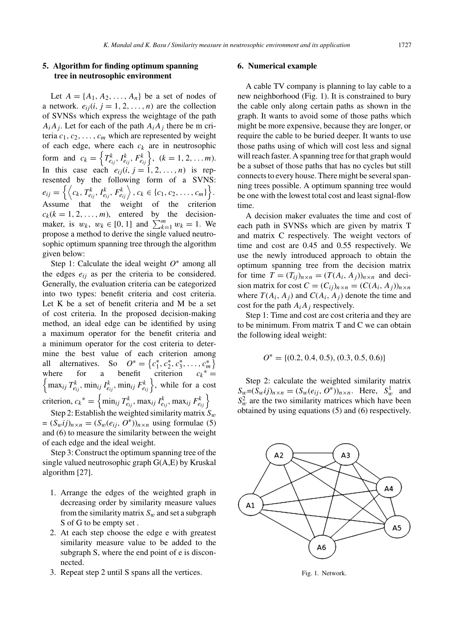# **5. Algorithm for finding optimum spanning tree in neutrosophic environment**

Let  $A = \{A_1, A_2, \ldots, A_n\}$  be a set of nodes of a network.  $e_{ij}$  $(i, j = 1, 2, ..., n)$  are the collection of SVNSs which express the weightage of the path  $A_iA_j$ . Let for each of the path  $A_iA_j$  there be m criteria  $c_1, c_2, \ldots, c_m$  which are represented by weight of each edge, where each  $c_k$  are in neutrosophic form and  $c_k = \left\{ T_{e_{ij}}^k, I_{e_{ij}}^k, F_{e_{ij}}^k \right\}, (k = 1, 2, ..., m).$ In this case each  $e_{ij}(i, j = 1, 2, \ldots, n)$  is represented by the following form of a SVNS:  $e_{ij} = \left\{ \left\langle c_k, T_{e_{ij}}^k, I_{e_{ij}}^k, F_{e_{ij}}^k \right\rangle, c_k \in \{c_1, c_2, \ldots, c_m\} \right\}.$ Assume that the weight of the criterion  $c_k(k = 1, 2, \ldots, m)$ , entered by the decisionmaker, is  $w_k$ ,  $w_k \in [0, 1]$  and  $\sum_{k=1}^{m} w_k = 1$ . We propose a method to derive the single valued neutrosophic optimum spanning tree through the algorithm given below:

Step 1: Calculate the ideal weight *O*<sup>∗</sup> among all the edges  $e_{ij}$  as per the criteria to be considered. Generally, the evaluation criteria can be categorized into two types: benefit criteria and cost criteria. Let K be a set of benefit criteria and M be a set of cost criteria. In the proposed decision-making method, an ideal edge can be identified by using a maximum operator for the benefit criteria and a minimum operator for the cost criteria to determine the best value of each criterion among all alternatives. So  $O^* = \{c_1^*, c_2^*, c_3^*, \dots, c_m^*\}$ where for a benefit criterion  $c_k^* = \left\{ \max_{ij} T_{e_{ij}}^k, \min_{ij} I_{e_{ij}}^k, \min_{ij} F_{e_{ij}}^k \right\}$ , while for a cost criterion,  $c_k^* = \begin{cases} \min_{ij} T_{e_{ij}}^k, \max_{ij} I_{e_{ij}}^k, \max_{ij} F_{e_{ij}}^k \end{cases}$ Step 2: Establish the weighted similarity matrix *Sw*

 $=(S_w i j)_{n \times n} = (S_w(e_{ij}, O^*))_{n \times n}$  using formulae (5) and (6) to measure the similarity between the weight of each edge and the ideal weight.

Step 3: Construct the optimum spanning tree of the single valued neutrosophic graph G(A,E) by Kruskal algorithm [27].

- 1. Arrange the edges of the weighted graph in decreasing order by similarity measure values from the similarity matrix  $S_w$  and set a subgraph S of G to be empty set .
- 2. At each step choose the edge e with greatest similarity measure value to be added to the subgraph S, where the end point of e is disconnected.
- 3. Repeat step 2 until S spans all the vertices.

# **6. Numerical example**

A cable TV company is planning to lay cable to a new neighborhood (Fig. 1). It is constrained to bury the cable only along certain paths as shown in the graph. It wants to avoid some of those paths which might be more expensive, because they are longer, or require the cable to be buried deeper. It wants to use those paths using of which will cost less and signal will reach faster. A spanning tree for that graph would be a subset of those paths that has no cycles but still connects to every house. There might be several spanning trees possible. A optimum spanning tree would be one with the lowest total cost and least signal-flow time.

A decision maker evaluates the time and cost of each path in SVNSs which are given by matrix T and matrix C respectively. The weight vectors of time and cost are 0.45 and 0.55 respectively. We use the newly introduced approach to obtain the optimum spanning tree from the decision matrix for time  $T = (T_{ij})_{n \times n} = (T(A_i, A_j))_{n \times n}$  and decision matrix for cost  $C = (C_{ij})_{n \times n} = (C(A_i, A_j))_{n \times n}$ where  $T(A_i, A_j)$  and  $C(A_i, A_j)$  denote the time and cost for the path  $A_iA_j$  respectively.

Step 1: Time and cost are cost criteria and they are to be minimum. From matrix T and C we can obtain the following ideal weight:

$$
O^* = \{(0.2, 0.4, 0.5), (0.3, 0.5, 0.6)\}
$$

Step 2: calculate the weighted similarity matrix  $S_w = (S_w i j)_{n \times n} = (S_w(e_{ij}, O^*))_{n \times n}$ . Here,  $S_w^1$  and  $S_w^2$  are the two similarity matrices which have been obtained by using equations (5) and (6) respectively.



Fig. 1. Network.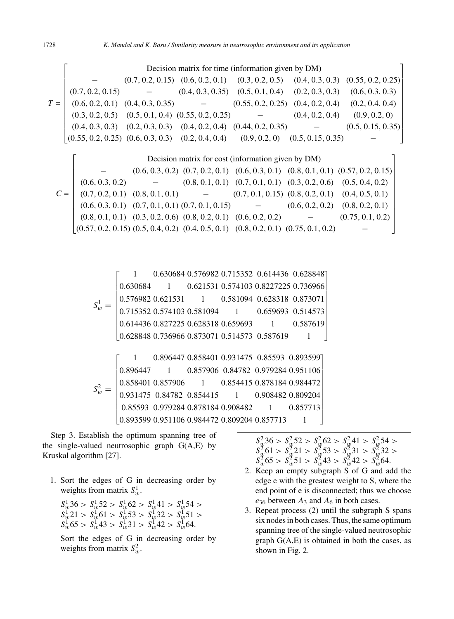*T* =  $\lceil$  $\overline{\phantom{a}}$  $\overline{\phantom{a}}$  $\overline{\phantom{a}}$  $\overline{\phantom{a}}$  $\overline{\phantom{a}}$  $\overline{\phantom{a}}$  $\overline{\phantom{a}}$  $\overline{\phantom{a}}$  $\overline{\phantom{a}}$  $\overline{\phantom{a}}$  $\overline{\phantom{a}}$ Decision matrix for time (information given by DM)  $(0.7, 0.2, 0.15)$   $(0.6, 0.2, 0.1)$   $(0.3, 0.2, 0.5)$   $(0.4, 0.3, 0.3)$   $(0.55, 0.2, 0.25)$  $(0.7, 0.2, 0.15)$  -  $(0.4, 0.3, 0.35)$   $(0.5, 0.1, 0.4)$   $(0.2, 0.3, 0.3)$   $(0.6, 0.3, 0.3)$  $(0.6, 0.2, 0.1)$   $(0.4, 0.3, 0.35)$   $(0.55, 0.2, 0.25)$   $(0.4, 0.2, 0.4)$   $(0.2, 0.4, 0.4)$  $(0.3, 0.2, 0.5)$   $(0.5, 0.1, 0.4)$   $(0.55, 0.2, 0.25)$   $(0.4, 0.2, 0.4)$   $(0.9, 0.2, 0)$  $(0.4, 0.3, 0.3)$   $(0.2, 0.3, 0.3)$   $(0.4, 0.2, 0.4)$   $(0.44, 0.2, 0.35)$  -  $(0.5, 0.15, 0.35)$  $(0.55, 0.2, 0.25)$   $(0.6, 0.3, 0.3)$   $(0.2, 0.4, 0.4)$   $(0.9, 0.2, 0)$   $(0.5, 0.15, 0.35)$ ⎤ ⎥  $\overline{a}$  $\overline{a}$  $\overline{a}$  $\overline{a}$  $\overline{a}$  $\overline{a}$  $\overline{a}$  $\perp$  $\perp$  $\overline{a}$  $\lceil$  $\overline{\phantom{a}}$ Decision matrix for cost (information given by DM)  $(0.6, 0.3, 0.2)$   $(0.7, 0.2, 0.1)$   $(0.6, 0.3, 0.1)$   $(0.8, 0.1, 0.1)$   $(0.57, 0.2, 0.15)$ ⎤ ⎥

$$
C = \begin{bmatrix} (0.6, 0.3, 0.2) & - & (0.8, 0.1, 0.1) & (0.7, 0.1, 0.1) & (0.3, 0.2, 0.6) & (0.5, 0.4, 0.2) \\ (0.7, 0.2, 0.1) & (0.8, 0.1, 0.1) & - & (0.7, 0.1, 0.15) & (0.8, 0.2, 0.1) & (0.4, 0.5, 0.1) \\ (0.6, 0.3, 0.1) & (0.7, 0.1, 0.1) & (0.7, 0.1, 0.15) & - & (0.6, 0.2, 0.2) & (0.8, 0.2, 0.1) \\ (0.8, 0.1, 0.1) & (0.3, 0.2, 0.6) & (0.8, 0.2, 0.1) & (0.6, 0.2, 0.2) & - & (0.75, 0.1, 0.2) \\ (0.57, 0.2, 0.15) & (0.5, 0.4, 0.2) & (0.4, 0.5, 0.1) & (0.8, 0.2, 0.1) & (0.75, 0.1, 0.2) & - \end{bmatrix}
$$

*S*1  $w^1 =$  $\lceil$  $\blacksquare$  $\overline{\phantom{a}}$  $\overline{\phantom{a}}$  $\overline{\phantom{a}}$ 1 0*.*630684 0*.*576982 0*.*715352 0*.*614436 0*.*628848 ⎤ 0*.*630684 1 0*.621531* 0*.574103* 0*.8227225* 0*.736966* 0*.*576982 0*.*621531 1 0*.*581094 0*.*628318 0*.*873071 0*.*715352 0*.*574103 0*.*581094 1 0*.*659693 0*.*514573 0*.*614436 0*.*827225 0*.*628318 0*.*659693 1 0*.*587619 0*.*628848 0*.*736966 0*.*873071 0*.*514573 0*.*587619 1  $\overline{a}$ 0.581094 0.628318 0.873071  $\overline{a}$ 0.659693 0.514573  $\perp$  $\perp$ ⎥  $\overline{a}$ 

*S*2  $\frac{u}{w} =$  $\lceil$ 0.896447  $\parallel$ ⎢ ⎢ ⎢ 0*.*931475 0*.*84782 0*.*854415 1 0*.*908482 0*.*809204  $\vert$  $\overline{\phantom{a}}$  $\overline{\phantom{a}}$ 1 0*.*896447 0*.*858401 0*.*931475 0*.*85593 0*.*893599 ⎤ 0*.*896447 1 0*.*857906 0*.*84782 0*.*979284 0*.*951106 0*.*858401 0*.*857906 1 0*.*854415 0*.*878184 0*.*984472 0*.*85593 0*.*979284 0*.*878184 0*.*908482 1 0*.*857713 0*.*893599 0*.*951106 0*.*984472 0*.*809204 0*.*857713 1 ⎥  $\overline{\phantom{a}}$  $\cdot$  $\overline{\phantom{a}}$  $\cdot$  $\perp$  $\overline{\phantom{a}}$  $\overline{\phantom{a}}$  $\overline{a}$ 

Step 3. Establish the optimum spanning tree of the single-valued neutrosophic graph  $G(A,E)$  by Kruskal algorithm [27].

1. Sort the edges of G in decreasing order by weights from matrix  $S_w^1$ .

$$
S_w^1 36 > S_w^1 52 > S_w^1 62 > S_w^1 41 > S_w^1 54 > S_w^1 21 > S_w^1 61 > S_w^1 53 > S_w^1 32 > S_w^1 51 > S_w^1 65 > S_w^1 43 > S_w^1 31 > S_w^1 42 > S_w^1 64.
$$

Sort the edges of G in decreasing order by weights from matrix  $S_w^2$ .

| $S_w^2 36 > S_w^2 52 > S_w^2 62 > S_w^2 41 > S_w^2 54 >$         |
|------------------------------------------------------------------|
| $S_w^2$ 61 > $S_w^2$ 21 > $S_w^2$ 53 > $S_w^2$ 31 > $S_w^2$ 32 > |
| $S_w^2$ 65 > $S_w^2$ 51 > $S_w^2$ 43 > $S_w^2$ 42 > $S_w^2$ 64.  |

- 2. Keep an empty subgraph S of G and add the edge e with the greatest weight to S, where the end point of e is disconnected; thus we choose  $e_{36}$  between  $A_3$  and  $A_6$  in both cases.
- 3. Repeat process (2) until the subgraph S spans six nodes in both cases. Thus, the same optimum spanning tree of the single-valued neutrosophic graph  $G(A, E)$  is obtained in both the cases, as shown in Fig. 2.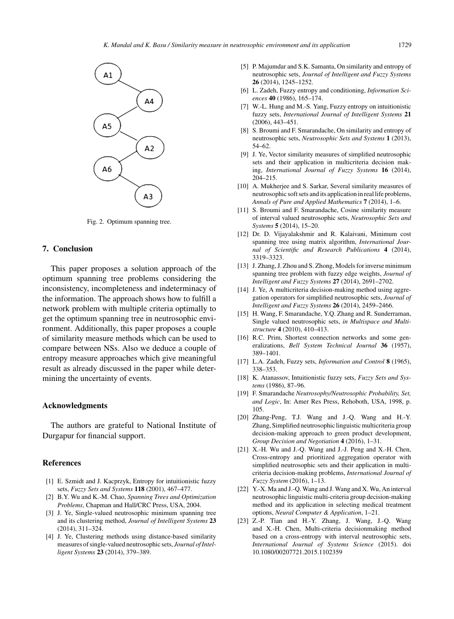

Fig. 2. Optimum spanning tree.

# **7. Conclusion**

This paper proposes a solution approach of the optimum spanning tree problems considering the inconsistency, incompleteness and indeterminacy of the information. The approach shows how to fulfill a network problem with multiple criteria optimally to get the optimum spanning tree in neutrosophic environment. Additionally, this paper proposes a couple of similarity measure methods which can be used to compare between NSs. Also we deduce a couple of entropy measure approaches which give meaningful result as already discussed in the paper while determining the uncertainty of events.

# **Acknowledgments**

The authors are grateful to National Institute of Durgapur for financial support.

# **References**

- [1] E. Szmidt and J. Kacprzyk, Entropy for intuitionistic fuzzy sets, *Fuzzy Sets and Systems* **118** (2001), 467–477.
- [2] B.Y. Wu and K.-M. Chao, *Spanning Trees and Optimization Problems*, Chapman and Hall/CRC Press, USA, 2004.
- [3] J. Ye, Single-valued neutrosophic minimum spanning tree and its clustering method, *Journal of Intelligent Systems* **23** (2014), 311–324.
- [4] J. Ye, Clustering methods using distance-based similarity measures of single-valued neutrosophic sets, *Journal of Intelligent Systems* **23** (2014), 379–389.
- [5] P. Majumdar and S.K. Samanta, On similarity and entropy of neutrosophic sets, *Journal of Intelligent and Fuzzy Systems* **26** (2014), 1245–1252.
- [6] L. Zadeh, Fuzzy entropy and conditioning, *Information Sciences* **40** (1986), 165–174.
- [7] W.-L. Hung and M.-S. Yang, Fuzzy entropy on intuitionistic fuzzy sets, *International Journal of Intelligent Systems* **21** (2006), 443–451.
- [8] S. Broumi and F. Smarandache, On similarity and entropy of neutrosophic sets, *Neutrosophic Sets and Systems* **1** (2013), 54–62.
- [9] J. Ye, Vector similarity measures of simplified neutrosophic sets and their application in multicriteria decision making, *International Journal of Fuzzy Systems* **16** (2014), 204–215.
- [10] A. Mukherjee and S. Sarkar, Several similarity measures of neutrosophic soft sets and its application in real life problems, *Annals of Pure and Applied Mathematics* **7** (2014), 1–6.
- [11] S. Broumi and F. Smarandache, Cosine similarity measure of interval valued neutrosophic sets, *Neutrosophic Sets and Systems* **5** (2014), 15–20.
- [12] Dr. D. Vijayalakshmir and R. Kalaivani, Minimum cost spanning tree using matrix algorithm, *International Journal of Scientific and Research Publications* **4** (2014), 3319–3323.
- [13] J. Zhang, J. Zhou and S. Zhong, Models for inverse minimum spanning tree problem with fuzzy edge weights, *Journal of Intelligent and Fuzzy Systems* **27** (2014), 2691–2702.
- [14] J. Ye, A multicriteria decision-making method using aggregation operators for simplified neutrosophic sets, *Journal of Intelligent and Fuzzy Systems* **26** (2014), 2459–2466.
- [15] H. Wang, F. Smarandache, Y.Q. Zhang and R. Sunderraman, Single valued neutrosophic sets, *in Multispace and Multistructure* **4** (2010), 410–413.
- [16] R.C. Prim, Shortest connection networks and some generalizations, *Bell System Technical Journal* **36** (1957), 389–1401.
- [17] L.A. Zadeh, Fuzzy sets, *Information and Control* **8** (1965), 338–353.
- [18] K. Atanassov, Intuitionistic fuzzy sets, *Fuzzy Sets and Systems* (1986), 87–96.
- [19] F. Smarandache *Neutrosophy/Neutrosophic Probability, Set, and Logic*, In: Amer Res Press, Rehoboth, USA, 1998, p. 105.
- [20] Zhang-Peng, T.J. Wang and J.-Q. Wang and H.-Y. Zhang, Simplified neutrosophic linguistic multicriteria group decision-making approach to green product development, *Group Decision and Negotiation* **4** (2016), 1–31.
- [21] X.-H. Wu and J.-Q. Wang and J.-J. Peng and X.-H. Chen, Cross-entropy and prioritized aggregation operator with simplified neutrosophic sets and their application in multicriteria decision-making problems, *International Journal of Fuzzy System* (2016), 1–13.
- [22] Y.-X. Ma and J.-O. Wang and J. Wang and X. Wu, An interval neutrosophic linguistic multi-criteria group decision-making method and its application in selecting medical treatment options, *Neural Computer & Application*, 1–21.
- [23] Z.-P. Tian and H.-Y. Zhang, J. Wang, J.-Q. Wang and X.-H. Chen, Multi-criteria decisionmaking method based on a cross-entropy with interval neutrosophic sets, *International Journal of Systems Science* (2015). doi 10.1080/00207721.2015.1102359